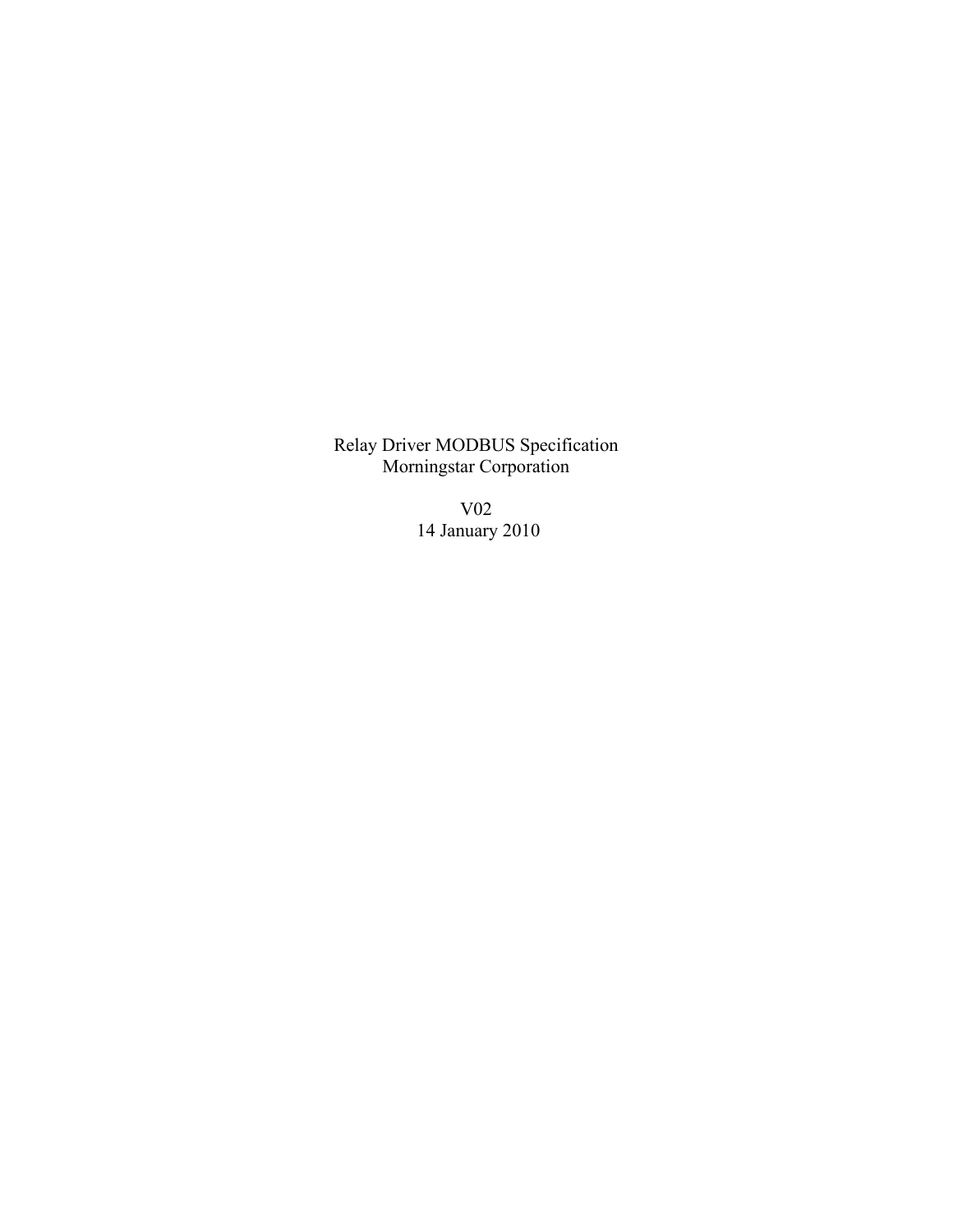Relay Driver MODBUS Specification Morningstar Corporation

> V02 14 January 2010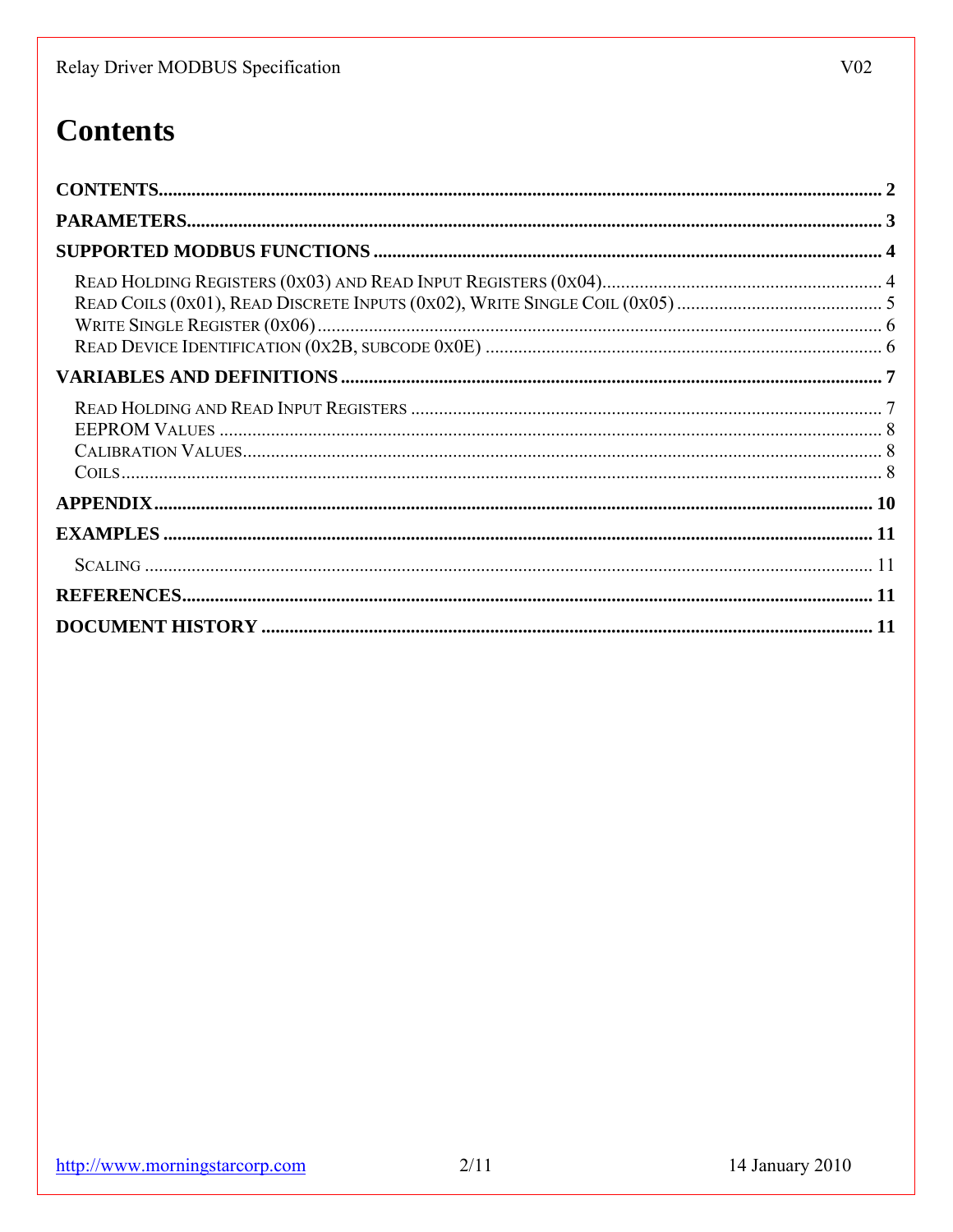# **Contents**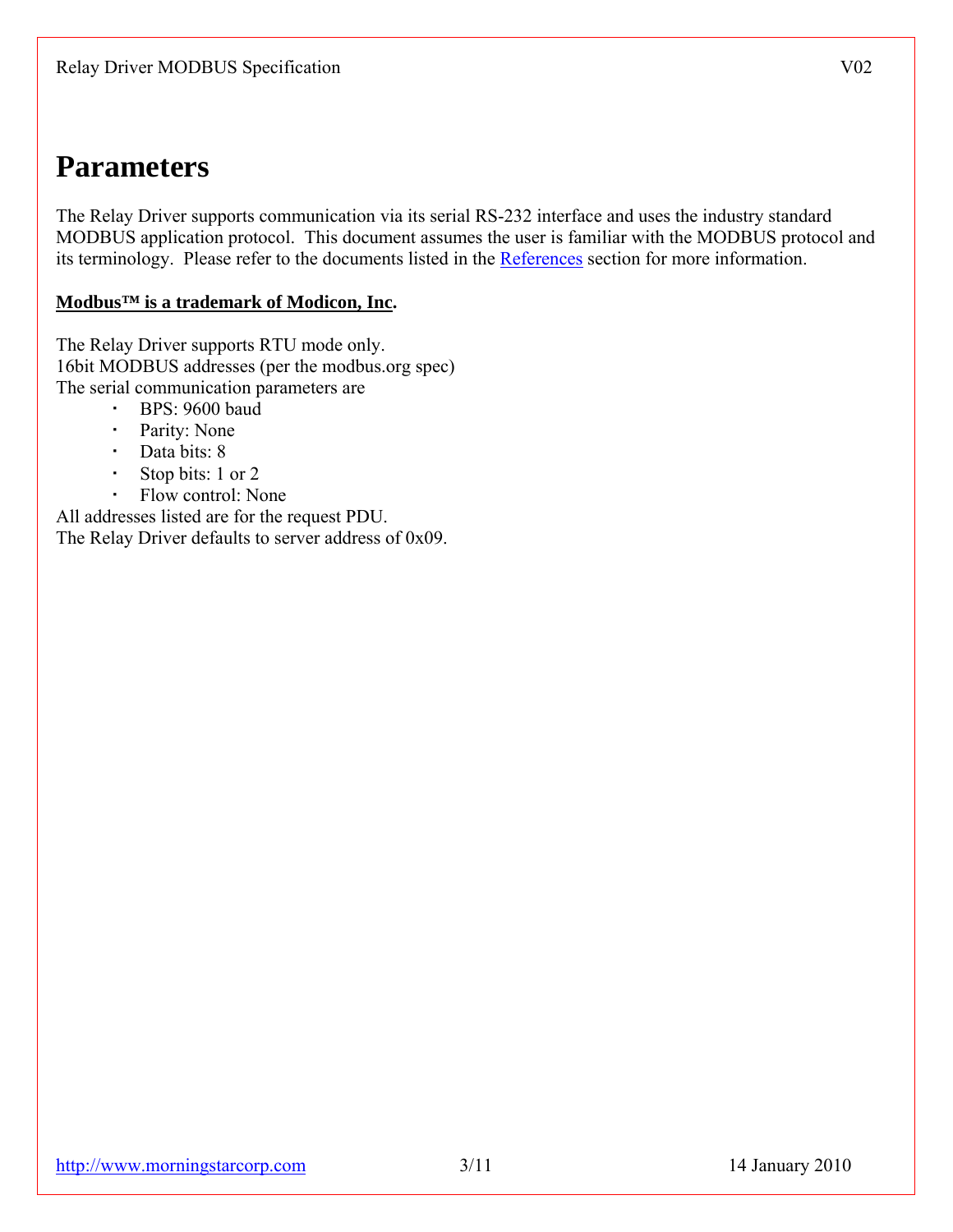# **Parameters**

The Relay Driver supports communication via its serial RS-232 interface and uses the industry standard MODBUS application protocol. This document assumes the user is familiar with the MODBUS protocol and its terminology. Please refer to the documents listed in the References section for more information.

#### **Modbus™ is a trademark of Modicon, Inc.**

The Relay Driver supports RTU mode only. 16bit MODBUS addresses (per the modbus.org spec) The serial communication parameters are

- BPS: 9600 baud
- Parity: None
- Data bits: 8
- Stop bits: 1 or 2
- Flow control: None

All addresses listed are for the request PDU. The Relay Driver defaults to server address of 0x09.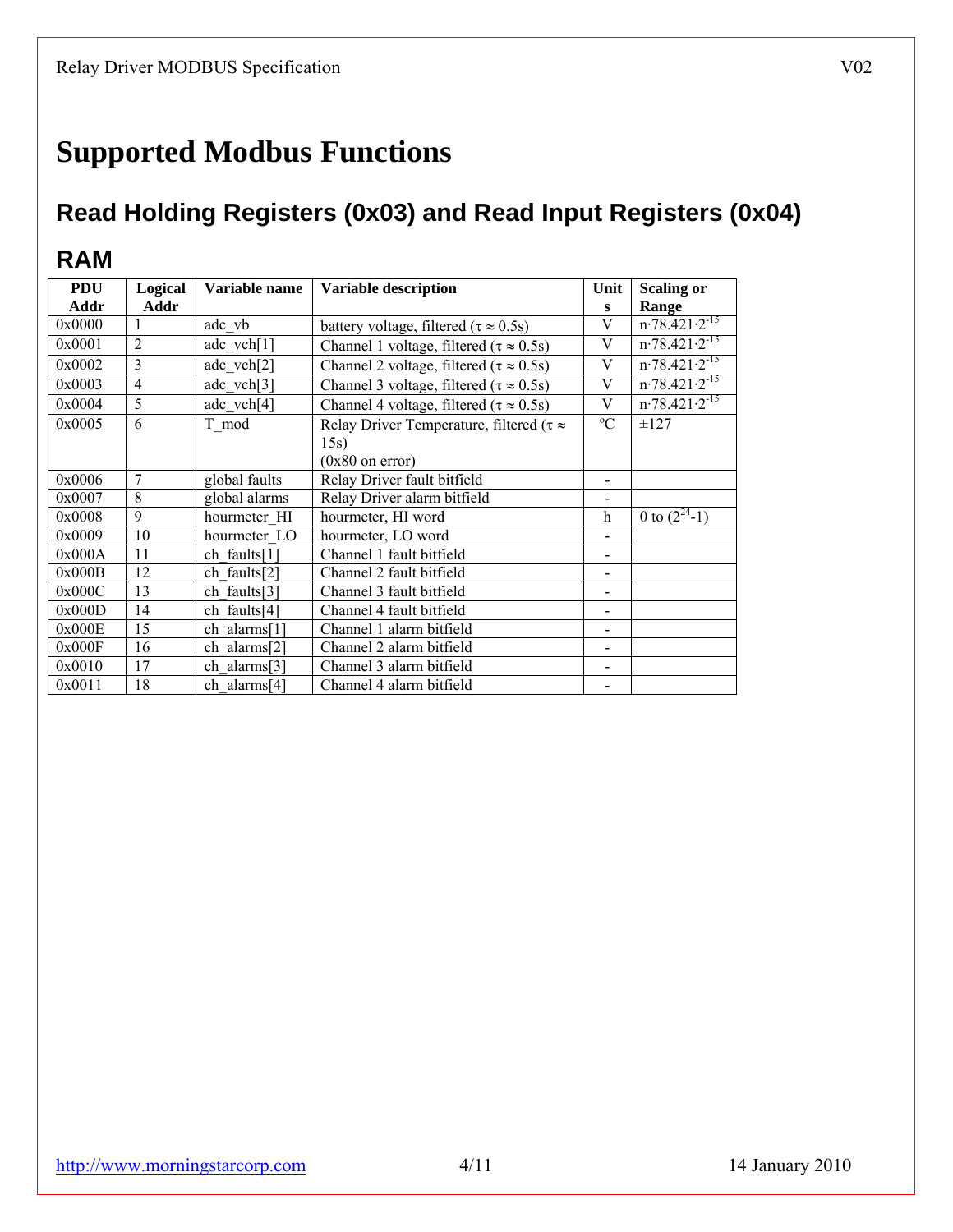# **Supported Modbus Functions**

# **Read Holding Registers (0x03) and Read Input Registers (0x04)**

## **RAM**

| <b>PDU</b> | Logical        | Variable name | <b>Variable description</b>                         | Unit        | <b>Scaling or</b>             |
|------------|----------------|---------------|-----------------------------------------------------|-------------|-------------------------------|
| Addr       | Addr           |               |                                                     | S           | Range                         |
| 0x0000     |                | adc vb        | battery voltage, filtered ( $\tau \approx 0.5$ s)   | V           | $n.78.\overline{421.2^{-15}}$ |
| 0x0001     | $\overline{2}$ | adc $vch[1]$  | Channel 1 voltage, filtered ( $\tau \approx 0.5$ s) | V           | $n.78.421 \cdot 2^{-15}$      |
| 0x0002     | 3              | adc vch[2]    | Channel 2 voltage, filtered ( $\tau \approx 0.5$ s) | V           | $n.78.\overline{421.2^{15}}$  |
| 0x0003     | $\overline{4}$ | adc vch[3]    | Channel 3 voltage, filtered ( $\tau \approx 0.5$ s) | V           | $n.78.421 \cdot 2^{-15}$      |
| 0x0004     | 5              | adc $vch[4]$  | Channel 4 voltage, filtered ( $\tau \approx 0.5$ s) | V           | $n.78.42\overline{1.2.15}$    |
| 0x0005     | 6              | T mod         | Relay Driver Temperature, filtered ( $\tau \approx$ | $\rm ^{o}C$ | $\pm 127$                     |
|            |                |               | 15s)                                                |             |                               |
|            |                |               | $(0x80)$ on error)                                  |             |                               |
| 0x0006     | 7              | global faults | Relay Driver fault bitfield                         |             |                               |
| 0x0007     | 8              | global alarms | Relay Driver alarm bitfield                         |             |                               |
| 0x0008     | 9              | hourmeter HI  | hourmeter, HI word                                  | $\mathbf h$ | 0 to $(\overline{2^{24}-1})$  |
| 0x0009     | 10             | hourmeter LO  | hourmeter, LO word                                  |             |                               |
| 0x000A     | 11             | ch faults[1]  | Channel 1 fault bitfield                            |             |                               |
| 0x000B     | 12             | ch faults[2]  | Channel 2 fault bitfield                            |             |                               |
| 0x000C     | 13             | ch faults[3]  | Channel 3 fault bitfield                            |             |                               |
| 0x000D     | 14             | ch faults[4]  | Channel 4 fault bitfield                            |             |                               |
| 0x000E     | 15             | ch alarms[1]  | Channel 1 alarm bitfield                            |             |                               |
| 0x000F     | 16             | ch alarms[2]  | Channel 2 alarm bitfield                            |             |                               |
| 0x0010     | 17             | ch alarms[3]  | Channel 3 alarm bitfield                            |             |                               |
| 0x0011     | 18             | ch alarms[4]  | Channel 4 alarm bitfield                            |             |                               |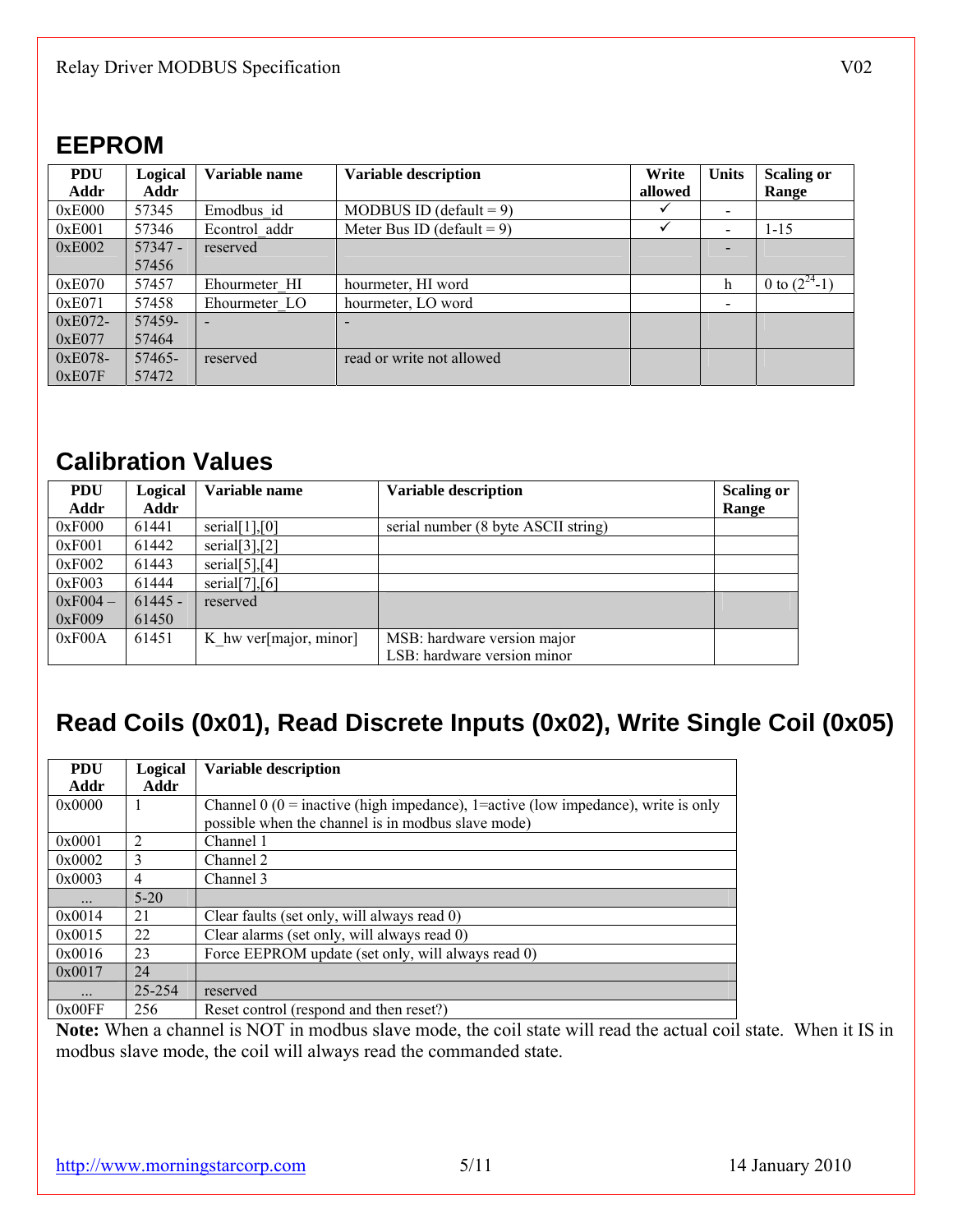## **EEPROM**

| <b>PDU</b> | <b>Logical</b> | Variable name | <b>Variable description</b>   | Write   | <b>Units</b> | <b>Scaling or</b> |
|------------|----------------|---------------|-------------------------------|---------|--------------|-------------------|
| Addr       | Addr           |               |                               | allowed |              | Range             |
| 0xE000     | 57345          | Emodbus id    | MODBUS ID (default = $9$ )    |         |              |                   |
| 0xE001     | 57346          | Econtrol addr | Meter Bus ID (default = $9$ ) |         |              | 1-15              |
| 0xE002     | $57347 -$      | reserved      |                               |         |              |                   |
|            | 57456          |               |                               |         |              |                   |
| 0xE070     | 57457          | Ehourmeter HI | hourmeter, HI word            |         | h            | 0 to $(2^{24}-1)$ |
| 0xE071     | 57458          | Ehourmeter LO | hourmeter, LO word            |         |              |                   |
| 0xE072-    | 57459-         |               | $\overline{\phantom{a}}$      |         |              |                   |
| 0xE077     | 57464          |               |                               |         |              |                   |
| 0xE078-    | 57465-         | reserved      | read or write not allowed     |         |              |                   |
| 0xE07F     | 57472          |               |                               |         |              |                   |

## **Calibration Values**

| <b>PDU</b> | Logical   | Variable name          | <b>Variable description</b>         | <b>Scaling or</b> |
|------------|-----------|------------------------|-------------------------------------|-------------------|
| Addr       | Addr      |                        |                                     | Range             |
| 0xF000     | 61441     | serial $[1]$ , $[0]$   | serial number (8 byte ASCII string) |                   |
| 0xF001     | 61442     | serial $[3]$ , $[2]$   |                                     |                   |
| 0xF002     | 61443     | serial $[5]$ , $[4]$   |                                     |                   |
| 0xF003     | 61444     | serial $[7]$ , $[6]$   |                                     |                   |
| $0xF004-$  | $61445 -$ | reserved               |                                     |                   |
| 0xF009     | 61450     |                        |                                     |                   |
| 0xF00A     | 61451     | K hw ver[major, minor] | MSB: hardware version major         |                   |
|            |           |                        | LSB: hardware version minor         |                   |

## **Read Coils (0x01), Read Discrete Inputs (0x02), Write Single Coil (0x05)**

| <b>PDU</b> | Logical        | <b>Variable description</b>                                                          |
|------------|----------------|--------------------------------------------------------------------------------------|
| Addr       | Addr           |                                                                                      |
| 0x0000     |                | Channel 0 ( $0 =$ inactive (high impedance), 1=active (low impedance), write is only |
|            |                | possible when the channel is in modbus slave mode)                                   |
| 0x0001     | $\mathfrak{D}$ | Channel 1                                                                            |
| 0x0002     | 3              | Channel 2                                                                            |
| 0x0003     | 4              | Channel 3                                                                            |
| .          | $5-20$         |                                                                                      |
| 0x0014     | 21             | Clear faults (set only, will always read 0)                                          |
| 0x0015     | 22             | Clear alarms (set only, will always read 0)                                          |
| 0x0016     | 23             | Force EEPROM update (set only, will always read 0)                                   |
| 0x0017     | 24             |                                                                                      |
| $\cdots$   | 25-254         | reserved                                                                             |
| 0x00FF     | 256            | Reset control (respond and then reset?)                                              |

**Note:** When a channel is NOT in modbus slave mode, the coil state will read the actual coil state. When it IS in modbus slave mode, the coil will always read the commanded state.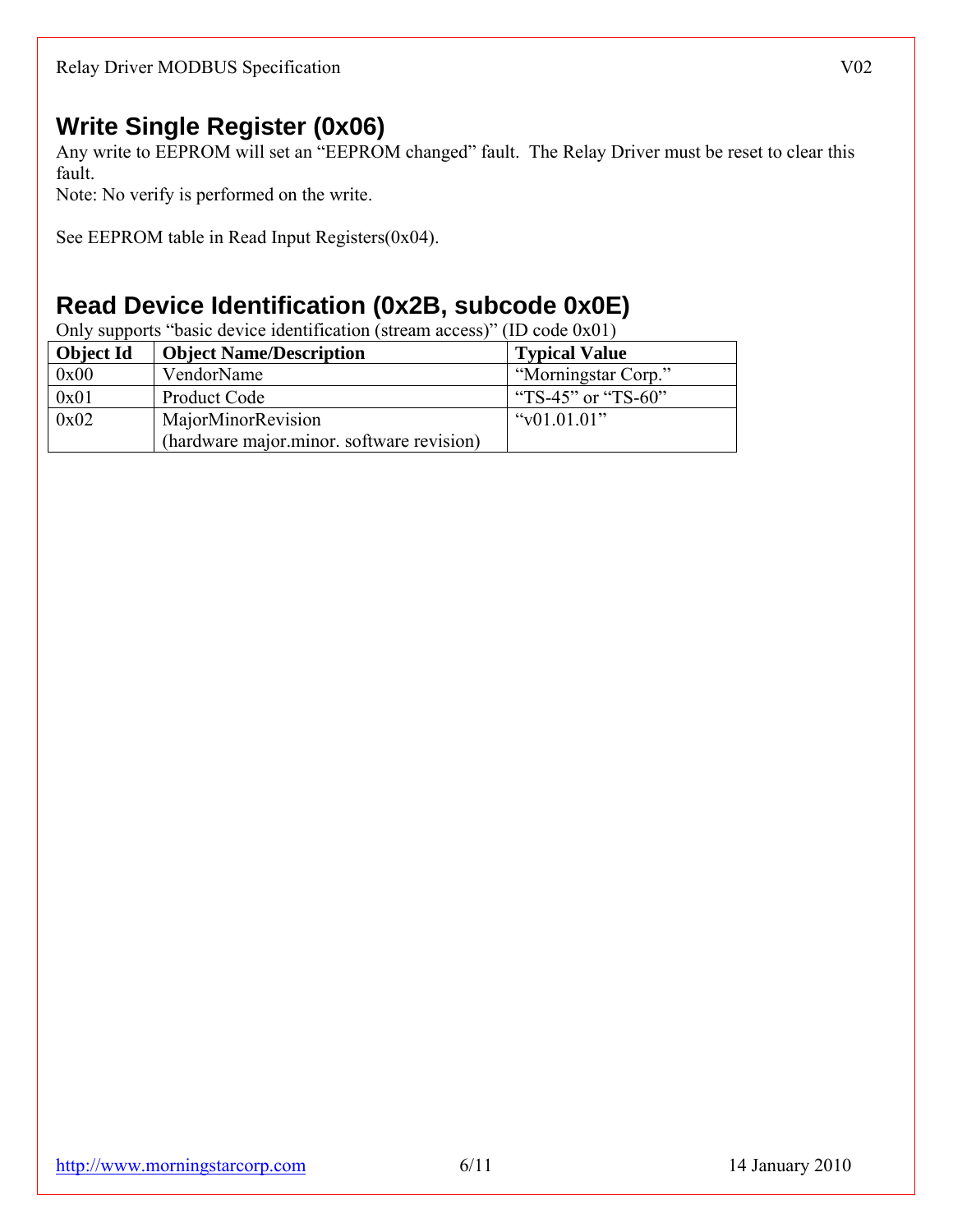## **Write Single Register (0x06)**

Any write to EEPROM will set an "EEPROM changed" fault. The Relay Driver must be reset to clear this fault.

Note: No verify is performed on the write.

See EEPROM table in Read Input Registers(0x04).

## **Read Device Identification (0x2B, subcode 0x0E)**

Only supports "basic device identification (stream access)" (ID code 0x01)

| <b>Object Id</b> | <b>Object Name/Description</b>            | <b>Typical Value</b> |
|------------------|-------------------------------------------|----------------------|
| 0x00             | VendorName                                | "Morningstar Corp."  |
| 0x01             | Product Code                              | "TS-45" or "TS-60"   |
| 0x02             | MajorMinorRevision                        | " $v01.01.01$ "      |
|                  | (hardware major minor, software revision) |                      |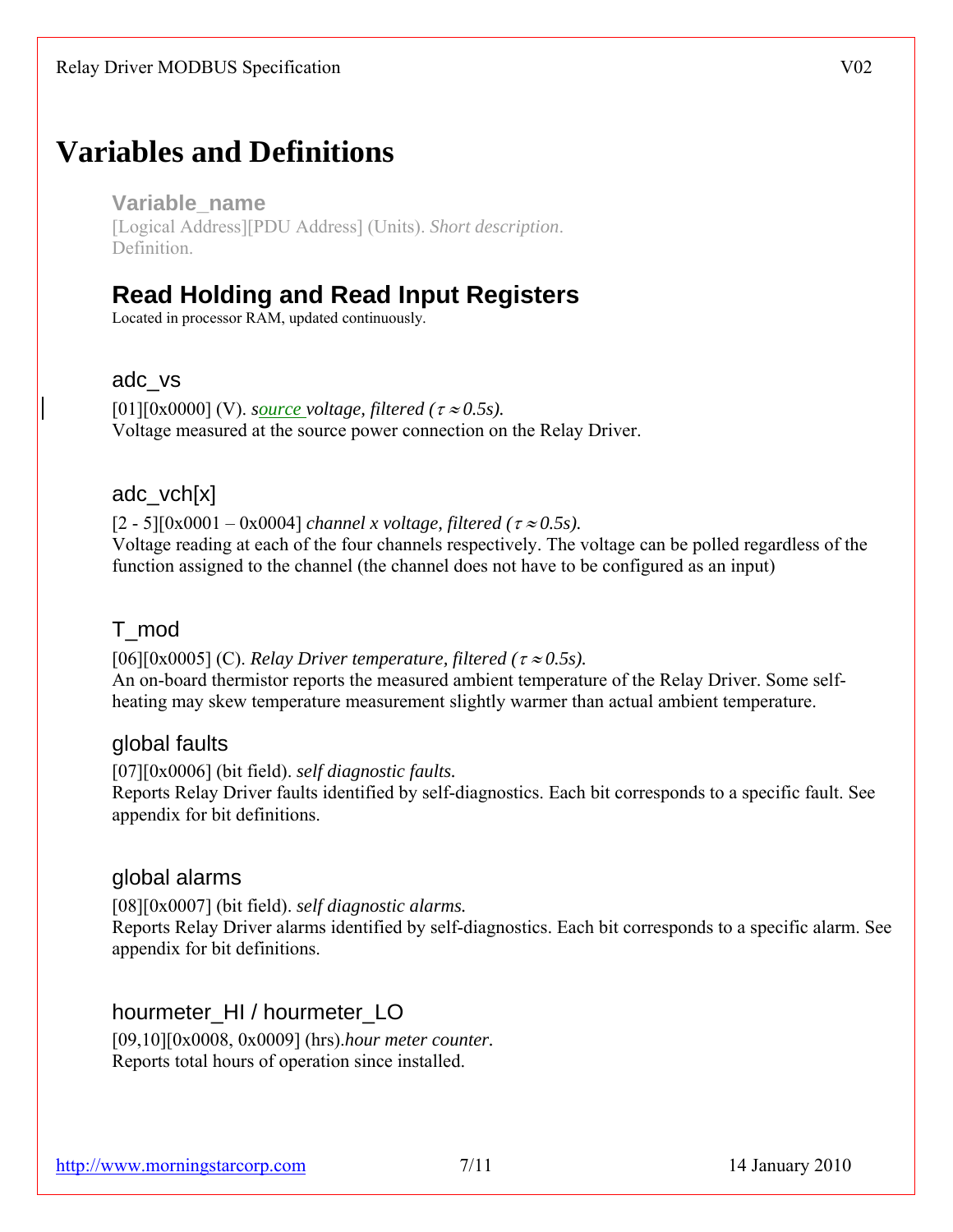# **Variables and Definitions**

**Variable\_name**  [Logical Address][PDU Address] (Units). *Short description*. Definition.

## **Read Holding and Read Input Registers**

Located in processor RAM, updated continuously.

#### adc\_vs

 $[01][0x0000]$  (V). *source voltage, filtered (* $\tau \approx 0.5s$ *).* Voltage measured at the source power connection on the Relay Driver.

### adc\_vch[x]

 $[2 - 5][0x0001 - 0x0004]$  *channel x voltage, filtered (* $\tau \approx 0.5s$ ).

Voltage reading at each of the four channels respectively. The voltage can be polled regardless of the function assigned to the channel (the channel does not have to be configured as an input)

### T\_mod

[06][0x0005] (C). *Relay Driver temperature, filtered (*<sup>τ</sup> <sup>≈</sup> *0.5s).* An on-board thermistor reports the measured ambient temperature of the Relay Driver. Some selfheating may skew temperature measurement slightly warmer than actual ambient temperature.

### global faults

[07][0x0006] (bit field). *self diagnostic faults.*  Reports Relay Driver faults identified by self-diagnostics. Each bit corresponds to a specific fault. See appendix for bit definitions.

### global alarms

[08][0x0007] (bit field). *self diagnostic alarms.*  Reports Relay Driver alarms identified by self-diagnostics. Each bit corresponds to a specific alarm. See appendix for bit definitions.

hourmeter\_HI / hourmeter\_LO

[09,10][0x0008, 0x0009] (hrs).*hour meter counter.*  Reports total hours of operation since installed.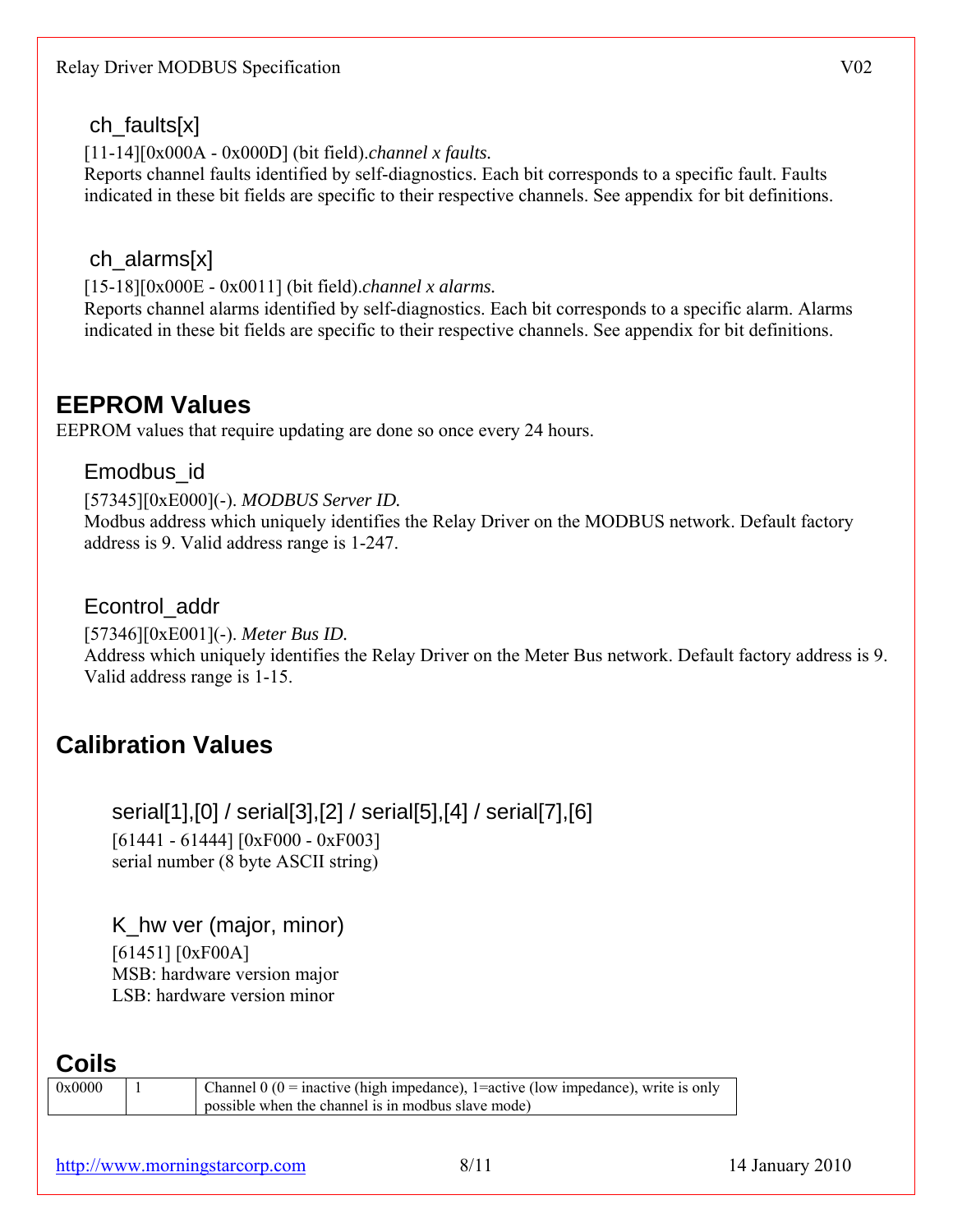### ch\_faults[x]

[11-14][0x000A - 0x000D] (bit field).*channel x faults.* 

Reports channel faults identified by self-diagnostics. Each bit corresponds to a specific fault. Faults indicated in these bit fields are specific to their respective channels. See appendix for bit definitions.

## ch\_alarms[x]

[15-18][0x000E - 0x0011] (bit field).*channel x alarms.*

Reports channel alarms identified by self-diagnostics. Each bit corresponds to a specific alarm. Alarms indicated in these bit fields are specific to their respective channels. See appendix for bit definitions.

## **EEPROM Values**

EEPROM values that require updating are done so once every 24 hours.

### Emodbus\_id

[57345][0xE000](-). *MODBUS Server ID.*  Modbus address which uniquely identifies the Relay Driver on the MODBUS network. Default factory address is 9. Valid address range is 1-247.

### Econtrol\_addr

[57346][0xE001](-). *Meter Bus ID.* Address which uniquely identifies the Relay Driver on the Meter Bus network. Default factory address is 9. Valid address range is 1-15.

## **Calibration Values**

serial[1],[0] / serial[3],[2] / serial[5],[4] / serial[7],[6] [61441 - 61444] [0xF000 - 0xF003] serial number (8 byte ASCII string)

K\_hw ver (major, minor) [61451] [0xF00A] MSB: hardware version major LSB: hardware version minor

## **Coils**

 $0x0000$  | 1 | Channel 0 (0 = inactive (high impedance), 1 = active (low impedance), write is only possible when the channel is in modbus slave mode)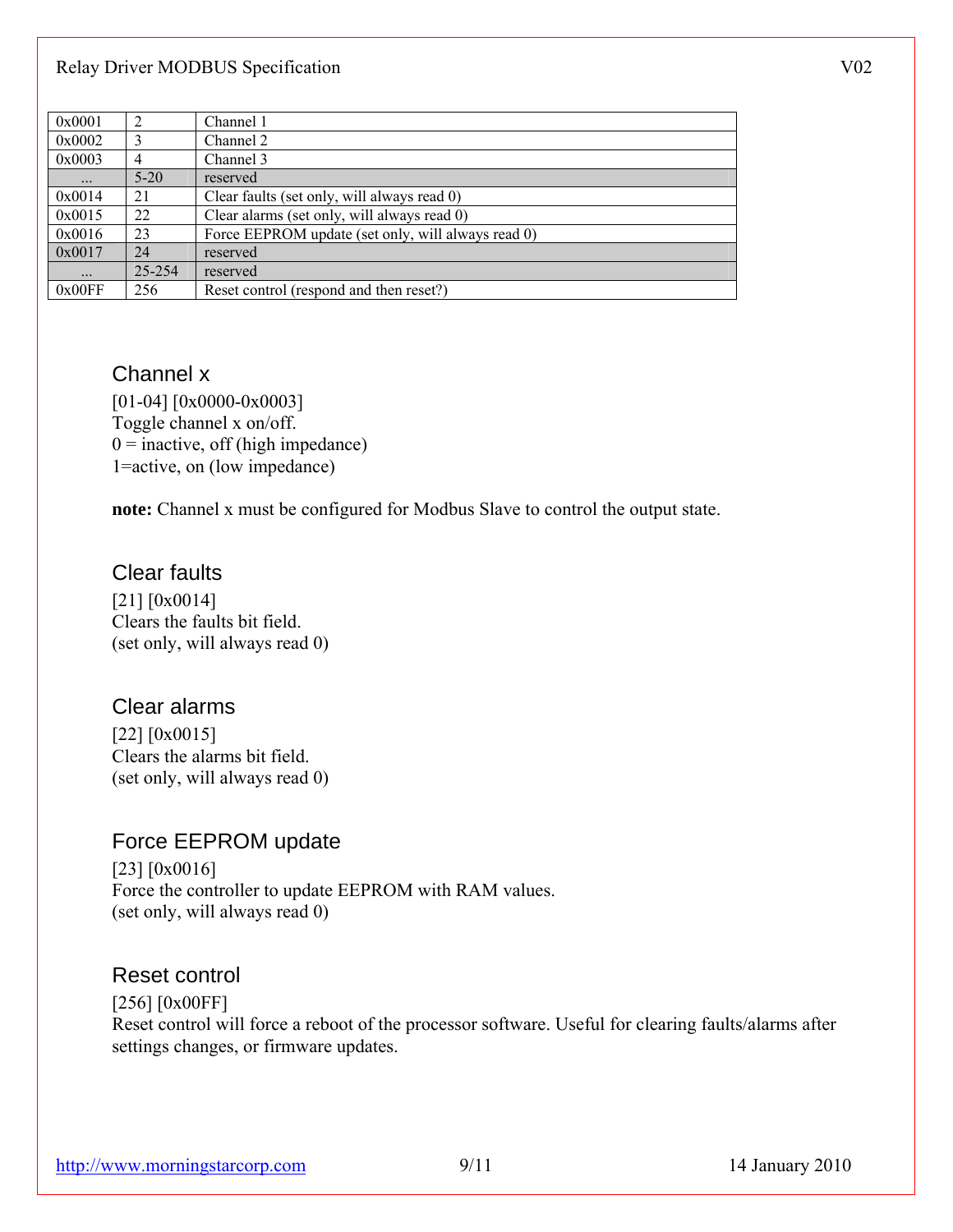#### Relay Driver MODBUS Specification V02

| 0x0001 | 2        | Channel 1                                          |
|--------|----------|----------------------------------------------------|
| 0x0002 | 3        | Channel 2                                          |
| 0x0003 | 4        | Channel 3                                          |
|        | $5 - 20$ | reserved                                           |
| 0x0014 | 21       | Clear faults (set only, will always read 0)        |
| 0x0015 | 22       | Clear alarms (set only, will always read 0)        |
| 0x0016 | 23       | Force EEPROM update (set only, will always read 0) |
| 0x0017 | 24       | reserved                                           |
|        | 25-254   | reserved                                           |
| 0x00FF | 256      | Reset control (respond and then reset?)            |

#### Channel x

[01-04] [0x0000-0x0003] Toggle channel x on/off.  $0 =$  inactive, off (high impedance) 1=active, on (low impedance)

**note:** Channel x must be configured for Modbus Slave to control the output state.

### Clear faults

[21] [0x0014] Clears the faults bit field. (set only, will always read 0)

### Clear alarms

[22]  $[0x0015]$ Clears the alarms bit field. (set only, will always read 0)

### Force EEPROM update

[23]  $[0x0016]$ Force the controller to update EEPROM with RAM values. (set only, will always read 0)

#### Reset control

[256] [0x00FF] Reset control will force a reboot of the processor software. Useful for clearing faults/alarms after settings changes, or firmware updates.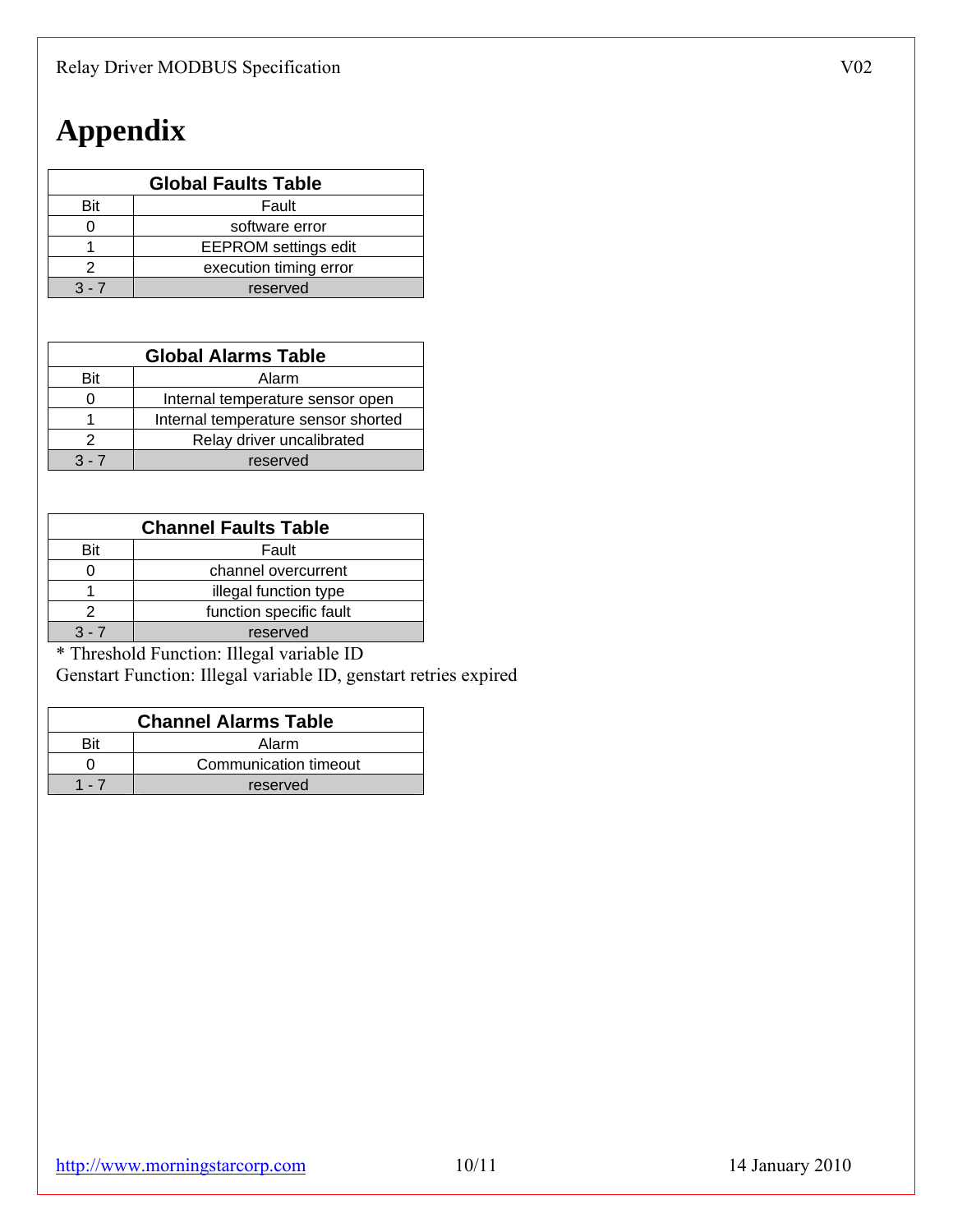# **Appendix**

| <b>Global Faults Table</b> |                             |  |
|----------------------------|-----------------------------|--|
| Bit                        | Fault                       |  |
|                            | software error              |  |
|                            | <b>EEPROM</b> settings edit |  |
|                            | execution timing error      |  |
| $3 - 1$                    | reserved                    |  |

| <b>Global Alarms Table</b> |                                     |  |
|----------------------------|-------------------------------------|--|
| Bit                        | Alarm                               |  |
|                            | Internal temperature sensor open    |  |
|                            | Internal temperature sensor shorted |  |
|                            | Relay driver uncalibrated           |  |
| 3 - 7                      | reserved                            |  |

| <b>Channel Faults Table</b> |                         |  |
|-----------------------------|-------------------------|--|
| Bit                         | Fault                   |  |
|                             | channel overcurrent     |  |
|                             | illegal function type   |  |
|                             | function specific fault |  |
| $3 - 7$                     | reserved                |  |

\* Threshold Function: Illegal variable ID

Genstart Function: Illegal variable ID, genstart retries expired

| <b>Channel Alarms Table</b> |                       |  |
|-----------------------------|-----------------------|--|
| Rit                         | Alarm                 |  |
|                             | Communication timeout |  |
|                             | reserved              |  |